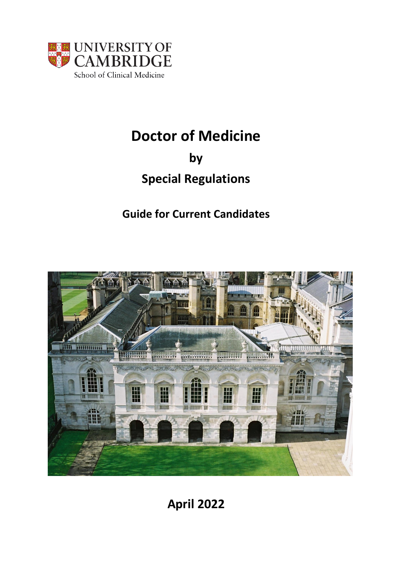

# **Doctor of Medicine**

## **by**

## **Special Regulations**

## **Guide for Current Candidates**



**April 2022**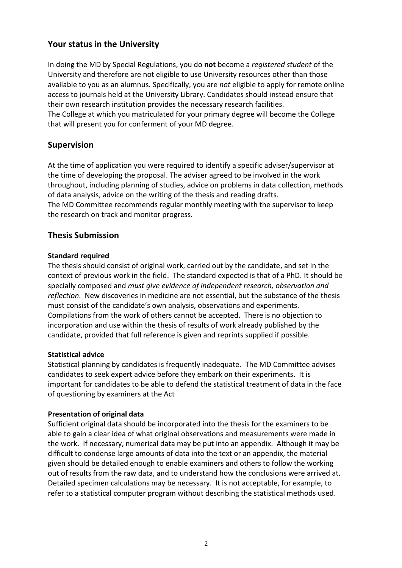## **Your status in the University**

In doing the MD by Special Regulations, you do **not** become a *registered student* of the University and therefore are not eligible to use University resources other than those available to you as an alumnus. Specifically, you are *not* eligible to apply for remote online access to journals held at the University Library. Candidates should instead ensure that their own research institution provides the necessary research facilities. The College at which you matriculated for your primary degree will become the College that will present you for conferment of your MD degree.

## **Supervision**

At the time of application you were required to identify a specific adviser/supervisor at the time of developing the proposal. The adviser agreed to be involved in the work throughout, including planning of studies, advice on problems in data collection, methods of data analysis, advice on the writing of the thesis and reading drafts. The MD Committee recommends regular monthly meeting with the supervisor to keep the research on track and monitor progress.

### **Thesis Submission**

#### **Standard required**

The thesis should consist of original work, carried out by the candidate, and set in the context of previous work in the field. The standard expected is that of a PhD. It should be specially composed and *must give evidence of independent research, observation and reflection*. New discoveries in medicine are not essential, but the substance of the thesis must consist of the candidate's own analysis, observations and experiments. Compilations from the work of others cannot be accepted. There is no objection to incorporation and use within the thesis of results of work already published by the candidate, provided that full reference is given and reprints supplied if possible.

#### **Statistical advice**

Statistical planning by candidates is frequently inadequate. The MD Committee advises candidates to seek expert advice before they embark on their experiments. It is important for candidates to be able to defend the statistical treatment of data in the face of questioning by examiners at the Act

#### **Presentation of original data**

Sufficient original data should be incorporated into the thesis for the examiners to be able to gain a clear idea of what original observations and measurements were made in the work. If necessary, numerical data may be put into an appendix. Although it may be difficult to condense large amounts of data into the text or an appendix, the material given should be detailed enough to enable examiners and others to follow the working out of results from the raw data, and to understand how the conclusions were arrived at. Detailed specimen calculations may be necessary. It is not acceptable, for example, to refer to a statistical computer program without describing the statistical methods used.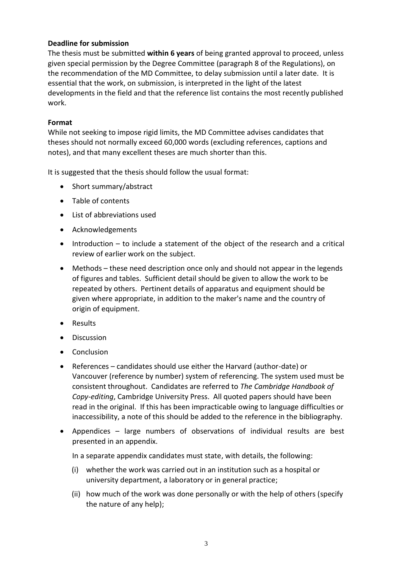#### **Deadline for submission**

The thesis must be submitted **within 6 years** of being granted approval to proceed, unless given special permission by the Degree Committee (paragraph 8 of the Regulations), on the recommendation of the MD Committee, to delay submission until a later date. It is essential that the work, on submission, is interpreted in the light of the latest developments in the field and that the reference list contains the most recently published work.

#### **Format**

While not seeking to impose rigid limits, the MD Committee advises candidates that theses should not normally exceed 60,000 words (excluding references, captions and notes), and that many excellent theses are much shorter than this.

It is suggested that the thesis should follow the usual format:

- Short summary/abstract
- Table of contents
- List of abbreviations used
- Acknowledgements
- Introduction to include a statement of the object of the research and a critical review of earlier work on the subject.
- Methods these need description once only and should not appear in the legends of figures and tables. Sufficient detail should be given to allow the work to be repeated by others. Pertinent details of apparatus and equipment should be given where appropriate, in addition to the maker's name and the country of origin of equipment.
- Results
- Discussion
- Conclusion
- References candidates should use either the Harvard (author-date) or Vancouver (reference by number) system of referencing. The system used must be consistent throughout. Candidates are referred to *The Cambridge Handbook of Copy-editing*, Cambridge University Press. All quoted papers should have been read in the original. If this has been impracticable owing to language difficulties or inaccessibility, a note of this should be added to the reference in the bibliography.
- Appendices large numbers of observations of individual results are best presented in an appendix.

In a separate appendix candidates must state, with details, the following:

- (i) whether the work was carried out in an institution such as a hospital or university department, a laboratory or in general practice;
- (ii) how much of the work was done personally or with the help of others (specify the nature of any help);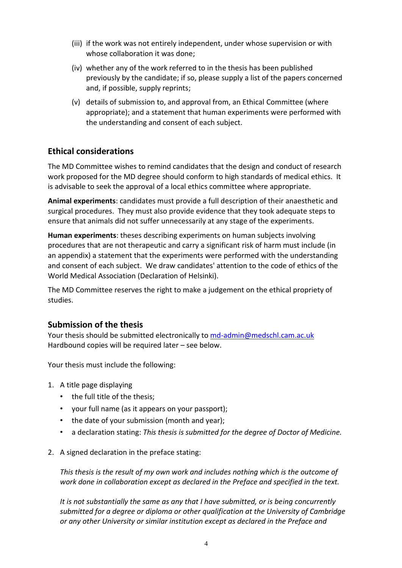- (iii) if the work was not entirely independent, under whose supervision or with whose collaboration it was done;
- (iv) whether any of the work referred to in the thesis has been published previously by the candidate; if so, please supply a list of the papers concerned and, if possible, supply reprints;
- (v) details of submission to, and approval from, an Ethical Committee (where appropriate); and a statement that human experiments were performed with the understanding and consent of each subject.

## **Ethical considerations**

The MD Committee wishes to remind candidates that the design and conduct of research work proposed for the MD degree should conform to high standards of medical ethics. It is advisable to seek the approval of a local ethics committee where appropriate.

**Animal experiments**: candidates must provide a full description of their anaesthetic and surgical procedures. They must also provide evidence that they took adequate steps to ensure that animals did not suffer unnecessarily at any stage of the experiments.

**Human experiments**: theses describing experiments on human subjects involving procedures that are not therapeutic and carry a significant risk of harm must include (in an appendix) a statement that the experiments were performed with the understanding and consent of each subject. We draw candidates' attention to the code of ethics of the World Medical Association (Declaration of Helsinki).

The MD Committee reserves the right to make a judgement on the ethical propriety of studies.

### **Submission of the thesis**

Your thesis should be submitted electronically to md-admin@medschl.cam.ac.uk Hardbound copies will be required later – see below.

Your thesis must include the following:

- 1. A title page displaying
	- the full title of the thesis;
	- your full name (as it appears on your passport);
	- the date of your submission (month and year);
	- a declaration stating: *This thesis is submitted for the degree of Doctor of Medicine.*
- 2. A signed declaration in the preface stating:

*This thesis is the result of my own work and includes nothing which is the outcome of work done in collaboration except as declared in the Preface and specified in the text.*

*It is not substantially the same as any that I have submitted, or is being concurrently submitted for a degree or diploma or other qualification at the University of Cambridge or any other University or similar institution except as declared in the Preface and*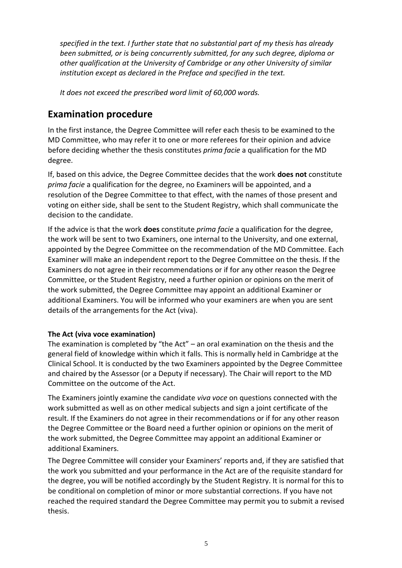*specified in the text. I further state that no substantial part of my thesis has already been submitted, or is being concurrently submitted, for any such degree, diploma or other qualification at the University of Cambridge or any other University of similar institution except as declared in the Preface and specified in the text.* 

*It does not exceed the prescribed word limit of 60,000 words.*

## **Examination procedure**

In the first instance, the Degree Committee will refer each thesis to be examined to the MD Committee, who may refer it to one or more referees for their opinion and advice before deciding whether the thesis constitutes *prima facie* a qualification for the MD degree.

If, based on this advice, the Degree Committee decides that the work **does not** constitute *prima facie* a qualification for the degree, no Examiners will be appointed, and a resolution of the Degree Committee to that effect, with the names of those present and voting on either side, shall be sent to the Student Registry, which shall communicate the decision to the candidate.

If the advice is that the work **does** constitute *prima facie* a qualification for the degree, the work will be sent to two Examiners, one internal to the University, and one external, appointed by the Degree Committee on the recommendation of the MD Committee. Each Examiner will make an independent report to the Degree Committee on the thesis. If the Examiners do not agree in their recommendations or if for any other reason the Degree Committee, or the Student Registry, need a further opinion or opinions on the merit of the work submitted, the Degree Committee may appoint an additional Examiner or additional Examiners. You will be informed who your examiners are when you are sent details of the arrangements for the Act (viva).

#### **The Act (viva voce examination)**

The examination is completed by "the Act" – an oral examination on the thesis and the general field of knowledge within which it falls. This is normally held in Cambridge at the Clinical School. It is conducted by the two Examiners appointed by the Degree Committee and chaired by the Assessor (or a Deputy if necessary). The Chair will report to the MD Committee on the outcome of the Act.

The Examiners jointly examine the candidate *viva voce* on questions connected with the work submitted as well as on other medical subjects and sign a joint certificate of the result. If the Examiners do not agree in their recommendations or if for any other reason the Degree Committee or the Board need a further opinion or opinions on the merit of the work submitted, the Degree Committee may appoint an additional Examiner or additional Examiners.

The Degree Committee will consider your Examiners' reports and, if they are satisfied that the work you submitted and your performance in the Act are of the requisite standard for the degree, you will be notified accordingly by the Student Registry. It is normal for this to be conditional on completion of minor or more substantial corrections. If you have not reached the required standard the Degree Committee may permit you to submit a revised thesis.